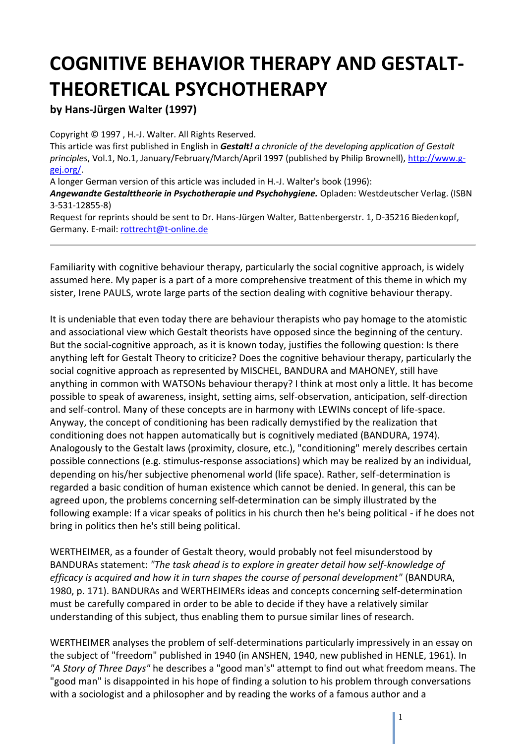## **COGNITIVE BEHAVIOR THERAPY AND GESTALT-THEORETICAL PSYCHOTHERAPY**

## **by Hans-Jürgen Walter (1997)**

Copyright © 1997 , H.-J. Walter. All Rights Reserved.

This article was first published in English in *Gestalt! a chronicle of the developing application of Gestalt principles*, Vol.1, No.1, January/February/March/April 1997 (published by Philip Brownell), [http://www.g](http://www.g-gej.org/)[gej.org/.](http://www.g-gej.org/)

A longer German version of this article was included in H.-J. Walter's book (1996):

*Angewandte Gestalttheorie in Psychotherapie und Psychohygiene.* Opladen: Westdeutscher Verlag. (ISBN 3-531-12855-8)

Request for reprints should be sent to Dr. Hans-Jürgen Walter, Battenbergerstr. 1, D-35216 Biedenkopf, Germany. E-mail: [rottrecht@t-online.de](mailto:rottrecht@t-online.de)

Familiarity with cognitive behaviour therapy, particularly the social cognitive approach, is widely assumed here. My paper is a part of a more comprehensive treatment of this theme in which my sister, Irene PAULS, wrote large parts of the section dealing with cognitive behaviour therapy.

It is undeniable that even today there are behaviour therapists who pay homage to the atomistic and associational view which Gestalt theorists have opposed since the beginning of the century. But the social-cognitive approach, as it is known today, justifies the following question: Is there anything left for Gestalt Theory to criticize? Does the cognitive behaviour therapy, particularly the social cognitive approach as represented by MISCHEL, BANDURA and MAHONEY, still have anything in common with WATSONs behaviour therapy? I think at most only a little. It has become possible to speak of awareness, insight, setting aims, self-observation, anticipation, self-direction and self-control. Many of these concepts are in harmony with LEWINs concept of life-space. Anyway, the concept of conditioning has been radically demystified by the realization that conditioning does not happen automatically but is cognitively mediated (BANDURA, 1974). Analogously to the Gestalt laws (proximity, closure, etc.), "conditioning" merely describes certain possible connections (e.g. stimulus-response associations) which may be realized by an individual, depending on his/her subjective phenomenal world (life space). Rather, self-determination is regarded a basic condition of human existence which cannot be denied. In general, this can be agreed upon, the problems concerning self-determination can be simply illustrated by the following example: If a vicar speaks of politics in his church then he's being political - if he does not bring in politics then he's still being political.

WERTHEIMER, as a founder of Gestalt theory, would probably not feel misunderstood by BANDURAs statement: *"The task ahead is to explore in greater detail how self-knowledge of efficacy is acquired and how it in turn shapes the course of personal development"* (BANDURA, 1980, p. 171). BANDURAs and WERTHEIMERs ideas and concepts concerning self-determination must be carefully compared in order to be able to decide if they have a relatively similar understanding of this subject, thus enabling them to pursue similar lines of research.

WERTHEIMER analyses the problem of self-determinations particularly impressively in an essay on the subject of "freedom" published in 1940 (in ANSHEN, 1940, new published in HENLE, 1961). In *"A Story of Three Days"* he describes a "good man's" attempt to find out what freedom means. The "good man" is disappointed in his hope of finding a solution to his problem through conversations with a sociologist and a philosopher and by reading the works of a famous author and a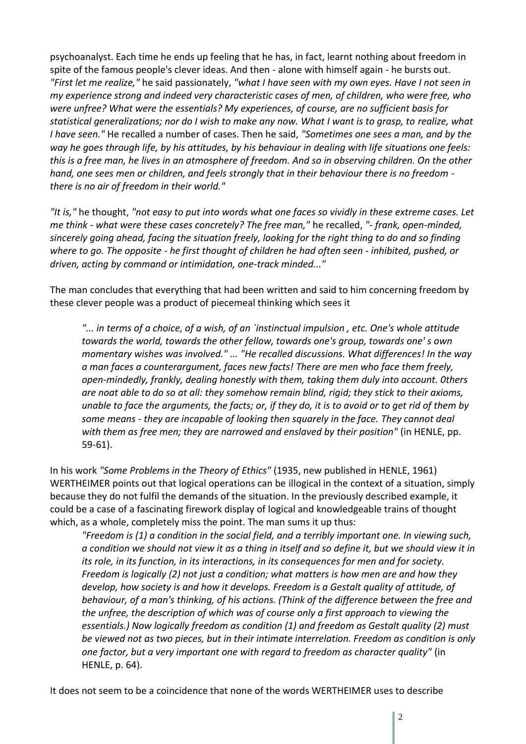psychoanalyst. Each time he ends up feeling that he has, in fact, learnt nothing about freedom in spite of the famous people's clever ideas. And then - alone with himself again - he bursts out. *"First let me realize,"* he said passionately, *"what I have seen with my own eyes. Have I not seen in my experience strong and indeed very characteristic cases of men, of children, who were free, who were unfree? What were the essentials? My experiences, of course, are no sufficient basis for statistical generalizations; nor do I wish to make any now. What I want is to grasp, to realize, what I have seen."* He recalled a number of cases. Then he said, *"Sometimes one sees a man, and by the way he goes through life, by his attitudes, by his behaviour in dealing with life situations one feels: this is a free man, he lives in an atmosphere of freedom. And so in observing children. On the other hand, one sees men or children, and feels strongly that in their behaviour there is no freedom there is no air of freedom in their world."*

*"It is,"* he thought, *"not easy to put into words what one faces so vividly in these extreme cases. Let me think - what were these cases concretely? The free man,"* he recalled, *"- frank, open-minded, sincerely going ahead, facing the situation freely, looking for the right thing to do and so finding where to go. The opposite - he first thought of children he had often seen - inhibited, pushed, or driven, acting by command or intimidation, one-track minded..."*

The man concludes that everything that had been written and said to him concerning freedom by these clever people was a product of piecemeal thinking which sees it

*"... in terms of a choice, of a wish, of an `instinctual impulsion , etc. One's whole attitude towards the world, towards the other fellow, towards one's group, towards one' s own momentary wishes was involved." ... "He recalled discussions. What differences! In the way a man faces a counterargument, faces new facts! There are men who face them freely, open-mindedly, frankly, dealing honestly with them, taking them duly into account. 0thers are noat able to do so at all: they somehow remain blind, rigid; they stick to their axioms, unable to face the arguments, the facts; or, if they do, it is to avoid or to get rid of them by some means - they are incapable of looking then squarely in the face. They cannot deal with them as free men; they are narrowed and enslaved by their position"* (in HENLE, pp. 59-61).

In his work *"Some Problems in the Theory of Ethics"* (1935, new published in HENLE, 1961) WERTHEIMER points out that logical operations can be illogical in the context of a situation, simply because they do not fulfil the demands of the situation. In the previously described example, it could be a case of a fascinating firework display of logical and knowledgeable trains of thought which, as a whole, completely miss the point. The man sums it up thus:

*"Freedom is (1) a condition in the social field, and a terribly important one. In viewing such, a condition we should not view it as a thing in itself and so define it, but we should view it in its role, in its function, in its interactions, in its consequences for men and for society. Freedom is logically (2) not just a condition; what matters is how men are and how they develop, how society is and how it develops. Freedom is a Gestalt quality of attitude, of behaviour, of a man's thinking, of his actions. (Think of the difference between the free and the unfree, the description of which was of course only a first approach to viewing the essentials.) Now logically freedom as condition (1) and freedom as Gestalt quality (2) must be viewed not as two pieces, but in their intimate interrelation. Freedom as condition is only one factor, but a very important one with regard to freedom as character quality"* (in HENLE, p. 64).

It does not seem to be a coincidence that none of the words WERTHEIMER uses to describe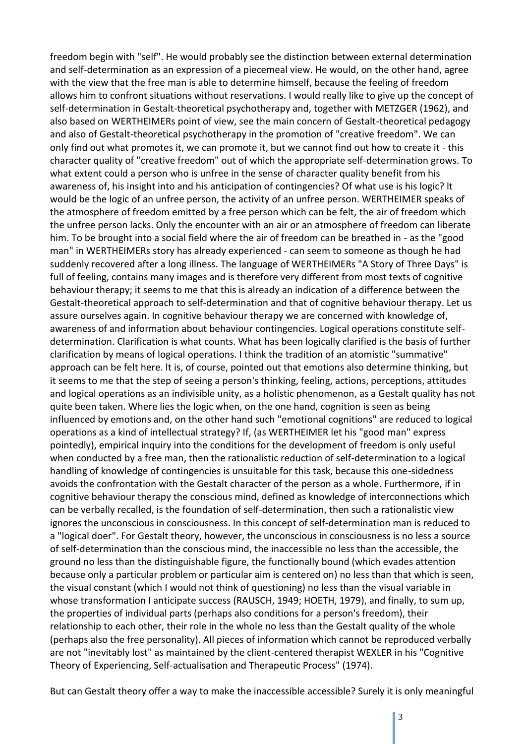freedom begin with "self". He would probably see the distinction between external determination and self-determination as an expression of a piecemeal view. He would, on the other hand, agree with the view that the free man is able to determine himself, because the feeling of freedom allows him to confront situations without reservations. I would really like to give up the concept of self-determination in Gestalt-theoretical psychotherapy and, together with METZGER (1962), and also based on WERTHEIMERs point of view, see the main concern of Gestalt-theoretical pedagogy and also of Gestalt-theoretical psychotherapy in the promotion of "creative freedom". We can only find out what promotes it, we can promote it, but we cannot find out how to create it - this character quality of "creative freedom" out of which the appropriate self-determination grows. To what extent could a person who is unfree in the sense of character quality benefit from his awareness of, his insight into and his anticipation of contingencies? Of what use is his logic? lt would be the logic of an unfree person, the activity of an unfree person. WERTHEIMER speaks of the atmosphere of freedom emitted by a free person which can be felt, the air of freedom which the unfree person lacks. Only the encounter with an air or an atmosphere of freedom can liberate him. To be brought into a social field where the air of freedom can be breathed in - as the "good man" in WERTHEIMERs story has already experienced - can seem to someone as though he had suddenly recovered after a long illness. The language of WERTHEIMERs "A Story of Three Days" is full of feeling, contains many images and is therefore very different from most texts of cognitive behaviour therapy; it seems to me that this is already an indication of a difference between the Gestalt-theoretical approach to self-determination and that of cognitive behaviour therapy. Let us assure ourselves again. In cognitive behaviour therapy we are concerned with knowledge of, awareness of and information about behaviour contingencies. Logical operations constitute selfdetermination. Clarification is what counts. What has been logically clarified is the basis of further clarification by means of logical operations. I think the tradition of an atomistic "summative" approach can be felt here. lt is, of course, pointed out that emotions also determine thinking, but it seems to me that the step of seeing a person's thinking, feeling, actions, perceptions, attitudes and logical operations as an indivisible unity, as a holistic phenomenon, as a Gestalt quality has not quite been taken. Where lies the logic when, on the one hand, cognition is seen as being influenced by emotions and, on the other hand such "emotional cognitions" are reduced to logical operations as a kind of intellectual strategy? If, (as WERTHEIMER let his "good man" express pointedly), empirical inquiry into the conditions for the development of freedom is only useful when conducted by a free man, then the rationalistic reduction of self-determination to a logical handling of knowledge of contingencies is unsuitable for this task, because this one-sidedness avoids the confrontation with the Gestalt character of the person as a whole. Furthermore, if in cognitive behaviour therapy the conscious mind, defined as knowledge of interconnections which can be verbally recalled, is the foundation of self-determination, then such a rationalistic view ignores the unconscious in consciousness. In this concept of self-determination man is reduced to a "logical doer". For Gestalt theory, however, the unconscious in consciousness is no less a source of self-determination than the conscious mind, the inaccessible no less than the accessible, the ground no less than the distinguishable figure, the functionally bound (which evades attention because only a particular problem or particular aim is centered on) no less than that which is seen, the visual constant (which I would not think of questioning) no less than the visual variable in whose transformation I anticipate success (RAUSCH, 1949; HOETH, 1979), and finally, to sum up, the properties of individual parts (perhaps also conditions for a person's freedom), their relationship to each other, their role in the whole no less than the Gestalt quality of the whole (perhaps also the free personality). All pieces of information which cannot be reproduced verbally are not "inevitably lost" as maintained by the client-centered therapist WEXLER in his "Cognitive Theory of Experiencing, Self-actualisation and Therapeutic Process" (1974).

But can Gestalt theory offer a way to make the inaccessible accessible? Surely it is only meaningful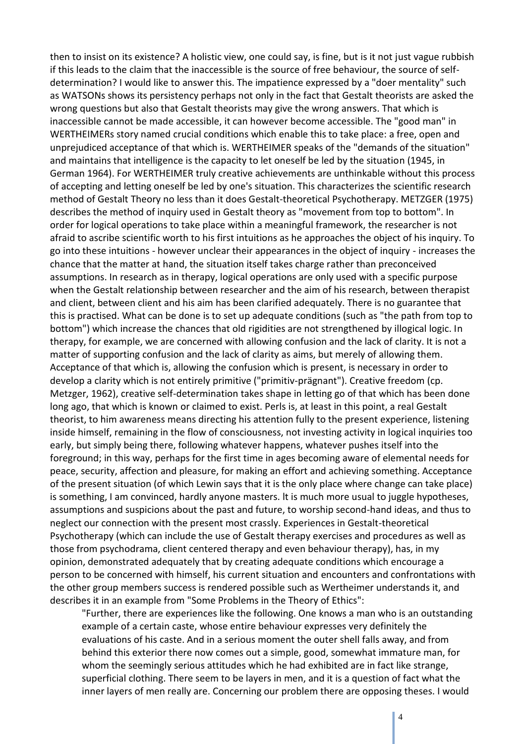then to insist on its existence? A holistic view, one could say, is fine, but is it not just vague rubbish if this leads to the claim that the inaccessible is the source of free behaviour, the source of selfdetermination? I would like to answer this. The impatience expressed by a "doer mentality" such as WATSONs shows its persistency perhaps not only in the fact that Gestalt theorists are asked the wrong questions but also that Gestalt theorists may give the wrong answers. That which is inaccessible cannot be made accessible, it can however become accessible. The "good man" in WERTHEIMERs story named crucial conditions which enable this to take place: a free, open and unprejudiced acceptance of that which is. WERTHEIMER speaks of the "demands of the situation" and maintains that intelligence is the capacity to let oneself be led by the situation (1945, in German 1964). For WERTHEIMER truly creative achievements are unthinkable without this process of accepting and letting oneself be led by one's situation. This characterizes the scientific research method of Gestalt Theory no less than it does Gestalt-theoretical Psychotherapy. METZGER (1975) describes the method of inquiry used in Gestalt theory as "movement from top to bottom". In order for logical operations to take place within a meaningful framework, the researcher is not afraid to ascribe scientific worth to his first intuitions as he approaches the object of his inquiry. To go into these intuitions - however unclear their appearances in the object of inquiry - increases the chance that the matter at hand, the situation itself takes charge rather than preconceived assumptions. In research as in therapy, logical operations are only used with a specific purpose when the Gestalt relationship between researcher and the aim of his research, between therapist and client, between client and his aim has been clarified adequately. There is no guarantee that this is practised. What can be done is to set up adequate conditions (such as "the path from top to bottom") which increase the chances that old rigidities are not strengthened by illogical logic. In therapy, for example, we are concerned with allowing confusion and the lack of clarity. It is not a matter of supporting confusion and the lack of clarity as aims, but merely of allowing them. Acceptance of that which is, allowing the confusion which is present, is necessary in order to develop a clarity which is not entirely primitive ("primitiv-prägnant"). Creative freedom (cp. Metzger, 1962), creative self-determination takes shape in letting go of that which has been done long ago, that which is known or claimed to exist. Perls is, at least in this point, a real Gestalt theorist, to him awareness means directing his attention fully to the present experience, listening inside himself, remaining in the flow of consciousness, not investing activity in logical inquiries too early, but simply being there, following whatever happens, whatever pushes itself into the foreground; in this way, perhaps for the first time in ages becoming aware of elemental needs for peace, security, affection and pleasure, for making an effort and achieving something. Acceptance of the present situation (of which Lewin says that it is the only place where change can take place) is something, I am convinced, hardly anyone masters. lt is much more usual to juggle hypotheses, assumptions and suspicions about the past and future, to worship second-hand ideas, and thus to neglect our connection with the present most crassly. Experiences in Gestalt-theoretical Psychotherapy (which can include the use of Gestalt therapy exercises and procedures as well as those from psychodrama, client centered therapy and even behaviour therapy), has, in my opinion, demonstrated adequately that by creating adequate conditions which encourage a person to be concerned with himself, his current situation and encounters and confrontations with the other group members success is rendered possible such as Wertheimer understands it, and describes it in an example from "Some Problems in the Theory of Ethics":

"Further, there are experiences like the following. One knows a man who is an outstanding example of a certain caste, whose entire behaviour expresses very definitely the evaluations of his caste. And in a serious moment the outer shell falls away, and from behind this exterior there now comes out a simple, good, somewhat immature man, for whom the seemingly serious attitudes which he had exhibited are in fact like strange, superficial clothing. There seem to be layers in men, and it is a question of fact what the inner layers of men really are. Concerning our problem there are opposing theses. I would